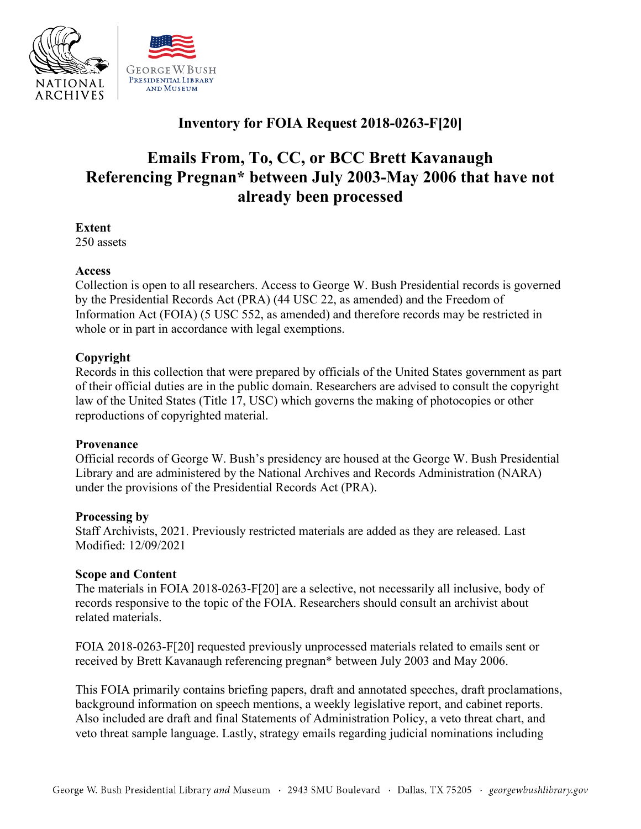

## **Inventory for FOIA Request 2018-0263-F[20]**

# **Emails From, To, CC, or BCC Brett Kavanaugh Referencing Pregnan\* between July 2003-May 2006 that have not already been processed**

**Extent** 

250 assets

#### **Access**

 by the Presidential Records Act (PRA) (44 USC 22, as amended) and the Freedom of Collection is open to all researchers. Access to George W. Bush Presidential records is governed Information Act (FOIA) (5 USC 552, as amended) and therefore records may be restricted in whole or in part in accordance with legal exemptions.

#### **Copyright**

Records in this collection that were prepared by officials of the United States government as part of their official duties are in the public domain. Researchers are advised to consult the copyright law of the United States (Title 17, USC) which governs the making of photocopies or other reproductions of copyrighted material.

#### **Provenance**

 under the provisions of the Presidential Records Act (PRA). Official records of George W. Bush's presidency are housed at the George W. Bush Presidential Library and are administered by the National Archives and Records Administration (NARA)

#### **Processing by**

Staff Archivists, 2021. Previously restricted materials are added as they are released. Last Modified: 12/09/2021

#### **Scope and Content**

The materials in FOIA 2018-0263-F[20] are a selective, not necessarily all inclusive, body of records responsive to the topic of the FOIA. Researchers should consult an archivist about related materials.

FOIA 2018-0263-F[20] requested previously unprocessed materials related to emails sent or received by Brett Kavanaugh referencing pregnan\* between July 2003 and May 2006.

This FOIA primarily contains briefing papers, draft and annotated speeches, draft proclamations, background information on speech mentions, a weekly legislative report, and cabinet reports. Also included are draft and final Statements of Administration Policy, a veto threat chart, and veto threat sample language. Lastly, strategy emails regarding judicial nominations including